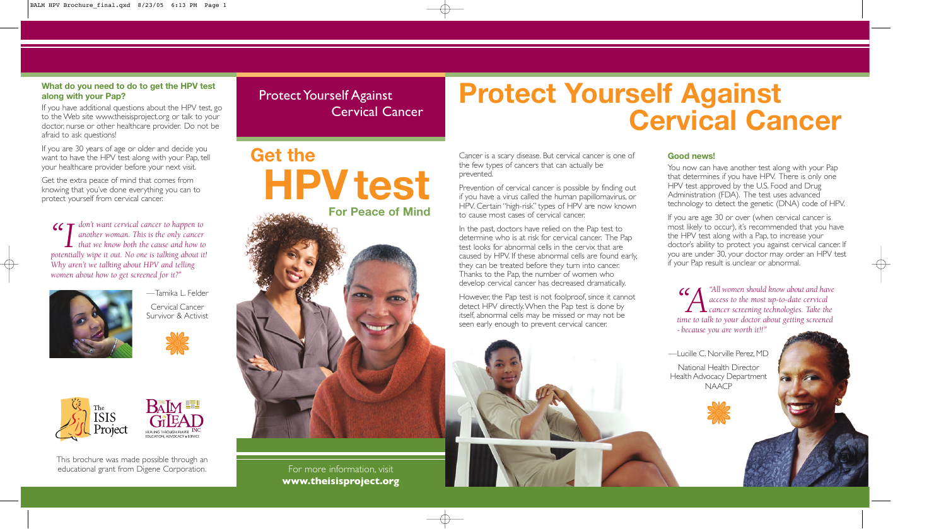*"I don't want cervical cancer to happen to another woman. This is the only cancer that we know both the cause and how to potentially wipe it out. No one is talking about it! Why aren't we talking about HPV and telling women about how to get screened for it?"*



For more information, visit **www.theisisproject.org**

Cancer is a scary disease. But cervical cancer is one of the few types of cancers that can actually be prevented.

Prevention of cervical cancer is possible by finding out if you have a virus called the human papillomavirus, or HPV. Certain "high-risk" types of HPV are now known to cause most cases of cervical cancer.

In the past, doctors have relied on the Pap test to determine who is at risk for cervical cancer. The Pap test looks for abnormal cells in the cervix that are caused by HPV. If these abnormal cells are found early, they can be treated before they turn into cancer. Thanks to the Pap, the number of women who develop cervical cancer has decreased dramatically.

If you are age 30 or over (when cervical cancer is most likely to occur), it's recommended that you have the HPV test along with a Pap, to increase your doctor's ability to protect you against cervical cancer. If you are under 30, your doctor may order an HPV test if your Pap result is unclear or abnormal.



However, the Pap test is not foolproof, since it cannot detect HPV directly.When the Pap test is done by itself, abnormal cells may be missed or may not be seen early enough to prevent cervical cancer.



Protect Yourself Against

# Cervical Cancer **Protect Yourself Against Cervical Cancer**

#### **Good news!**

**66 CM** "All women should know about and have<br>access to the most up-to-date cervical<br>time to talk to your doctor about getting screened *access to the most up-to-date cervical cancer screening technologies. Take the time to talk to your doctor about getting screened - because you are worth it!!"*

You now can have another test along with your Pap that determines if you have HPV. There is only one HPV test approved by the U.S. Food and Drug Administration (FDA). The test uses advanced technology to detect the genetic (DNA) code of HPV.

**Get the HPV test** 

**For Peace of Mind**

### **What do you need to do to get the HPV test along with your Pap?**

If you have additional questions about the HPV test, go to the Web site www.theisisproject.org or talk to your doctor, nurse or other healthcare provider. Do not be afraid to ask questions!

If you are 30 years of age or older and decide you want to have the HPV test along with your Pap, tell your healthcare provider before your next visit.

Get the extra peace of mind that comes from knowing that you've done everything you can to protect yourself from cervical cancer.

This brochure was made possible through an educational grant from Digene Corporation.

—Tamika L. Felder Cervical Cancer

Survivor & Activist





—Lucille C. Norville Perez, MD

National Health Director Health Advocacy Department NAACP